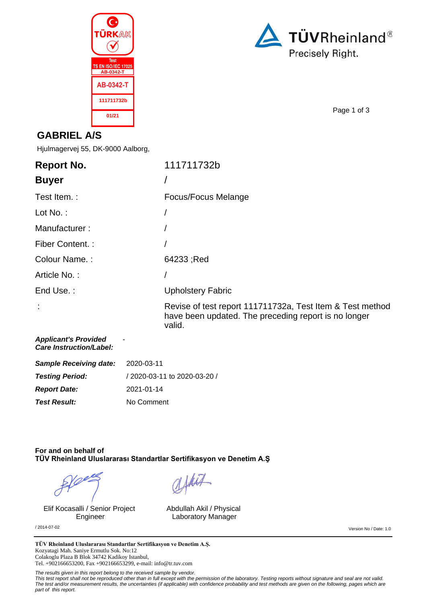



Page 1 of 3

### **GABRIEL A/S**

Hjulmagervej 55, DK-9000 Aalborg,

| <b>Report No.</b>                                             | 111711732b                                                                                                                  |
|---------------------------------------------------------------|-----------------------------------------------------------------------------------------------------------------------------|
| <b>Buyer</b>                                                  |                                                                                                                             |
| Test Item.:                                                   | Focus/Focus Melange                                                                                                         |
| Lot No.:                                                      |                                                                                                                             |
| Manufacturer:                                                 |                                                                                                                             |
| Fiber Content. :                                              |                                                                                                                             |
| Colour Name.:                                                 | 64233; Red                                                                                                                  |
| Article No.:                                                  |                                                                                                                             |
| End Use.:                                                     | <b>Upholstery Fabric</b>                                                                                                    |
|                                                               | Revise of test report 111711732a, Test Item & Test method<br>have been updated. The preceding report is no longer<br>valid. |
| <b>Applicant's Provided</b><br><b>Care Instruction/Label:</b> |                                                                                                                             |
| <b>Sample Receiving date:</b>                                 | 2020-03-11                                                                                                                  |
| <b>Testing Period:</b>                                        | / 2020-03-11 to 2020-03-20 /                                                                                                |

**Report Date:** 2021-01-14 **Test Result:** No Comment

### **For and on behalf of TÜV Rheinland Uluslararası Standartlar Sertifikasyon ve Denetim A.Ş**

Elif Kocasalli / Senior Project Engineer

Abdullah Akil / Physical Laboratory Manager

afhit

/ 2014-07-02 Version No / Date: 1.0

TÜV Rheinland Uluslararası Standartlar Sertifikasyon ve Denetim A.Ş. Kozyatagi Mah. Saniye Ermutlu Sok. No:12 Colakoglu Plaza B Blok 34742 Kadikoy Istanbul, Tel. +902166653200, Fax +902166653299, e-mail: info@tr.tuv.com

The results given in this report belong to the received sample by vendor.

This test report shall not be reproduced other than in full except with the permission of the laboratory. Testing reports without signature and seal are not valid.<br>The test and/or measurement results, the uncertainties (if part of this report.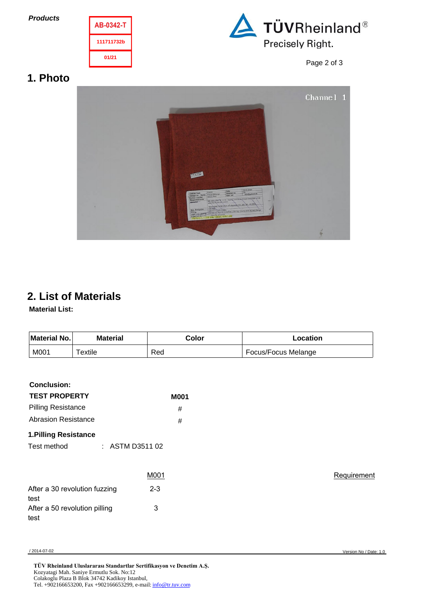**Products**





Page 2 of 3

## **1. Photo**



# **2. List of Materials**

**Material List:**

| Material No. | <b>Material</b> | Color | Location            |
|--------------|-----------------|-------|---------------------|
| M001         | $T$ extile      | Red   | Focus/Focus Melange |

### **Conclusion:**

| <b>TEST PROPERTY</b>      | <b>M001</b> |
|---------------------------|-------------|
| <b>Pilling Resistance</b> | #           |
| Abrasion Resistance       | #           |
|                           |             |

**1.Pilling Resistance**

Test method : ASTM D3511 02

|                                       | M001    |  |
|---------------------------------------|---------|--|
| After a 30 revolution fuzzing<br>test | $2 - 3$ |  |
| After a 50 revolution pilling<br>test | 3       |  |

**Requirement**